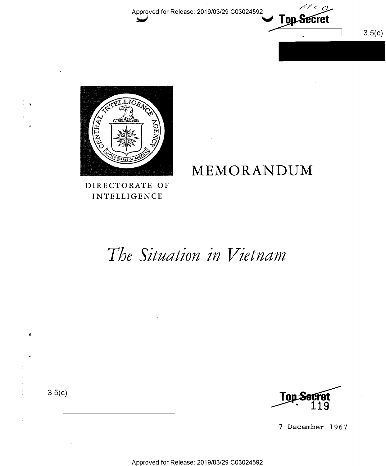Approved for Release: 2019/03/29 C03024592



DIRECTORATE OF INTELLIGENCE

# The Situation in Vietnam

 $3.5(c)$ 



Top-S

MEMORANDUM

 $3.5(c)$ 

7 December 1967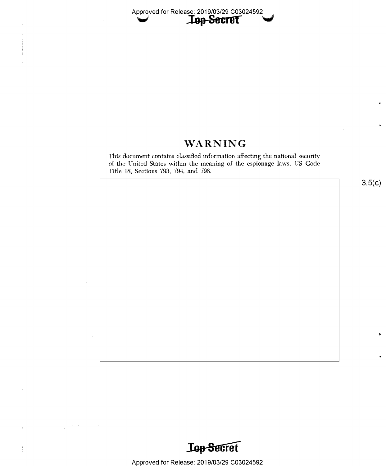# WARNING

This document contains classified information affecting the national security of the United States within the meaning of the espionage laws, US Code Title 18, Sections 793, 794, and 798.

 $3.5(c)$ 



Approved for Release: 2019/03/29 C03024592

 $\epsilon$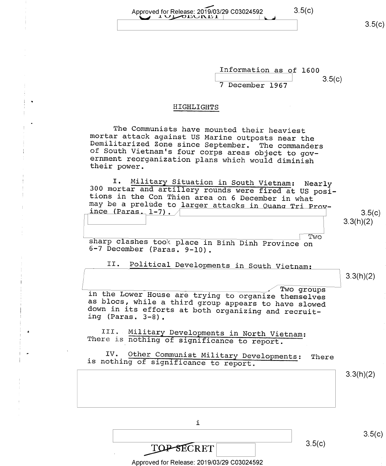Approved for Release: 2019/03/29 C03024592 3.5(C)<br>  $\begin{array}{|c|c|c|c|c|c|c|c|}\n\hline\n\text{1} & \text{1} & \text{1} & \text{1} & \text{1} & \text{1} & \text{1} & \text{1} & \text{1} & \text{1} & \text{1} & \text{1} & \text{1} & \text{1} & \text{1} & \text{1} & \text{1} & \text{1} & \text{1} & \text{1} & \text{1} & \text{1} & \text{1} & \text{1$ 

 $3.5(c)$ 

Information as of 1600<br>3.5(c)  $7$  December 1967  $3.5(c)$ 

#### HIGHLIGHTS

The Communists have mounted their heaviest<br>mortar attack against US Marine outposts near the Demilitarized Zone since September. The commanders<br>of South Vietnam's four corps areas object to gov-<br>ernment reorganization plans which would diminish<br>their power.

I. Military Situation in South Vietnam: Nearly 300 mortar and artillery rounds were fired at US posi-<br>tions in the Con Thien area on 6 December in what<br>may be a prelude to larger attacks in Ouano Tri Prov- $\frac{1 - 7}{3.5(c)}$  3.5(c)

Two sharp clashes took place in Binh Dinh Province on 6-7 December (Paras. 9-10).

II. Political Developments in South Vietnam:

 $3.3(h)(2)$ 

3.3(h)(2)

In the Lower House are trying to organize themselves as blocs, while a third group appears to have slowed down in its efforts at both organizing and recruit-<br>ing (Paras. 3-8).

III. Military Developments in North Vietnam: There is nothing of significance to report.

IV. Other Communist Military Developments: There<br>is nothing of significance to report.

 $3.3(h)(2)$ 

i

 $3.5(c)$ 

 $3.5(c)$ 

TOP-SECRET Approved for Release: 2019/03/29 C03024592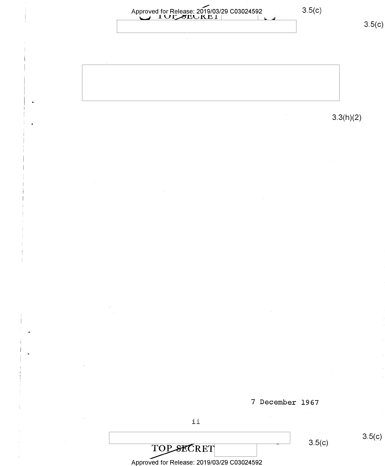Approved for Release: 2019/03/29 C03024592  $\bigcup$  1UL SECKEL  $\bigcup$  $3.5(c)$ <sup>7</sup>December 1967 ii  $\overline{TOP\_SECTION}$  3.5(c) Approved for Release: 2019/03/29 C03024592 3.3(h)(2)  $3.5(c)$  $3.5(c)$ 

~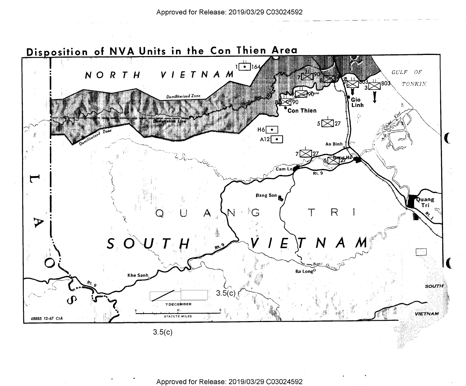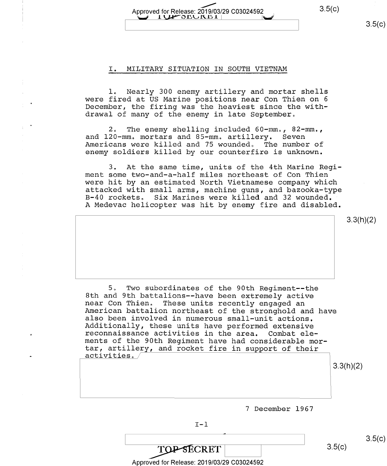# \_//' Approved for Release: 2019/03/29 003024592 1 3-5(9) t} l WDEQ IXD1 .l \

### I. MILITARY SITUATION IN SOUTH VIETNAM

l. Nearly 300 enemy artillery and mortar shells were fired at US Marine positions near Con Thien on <sup>6</sup> December, the firing was the heaviest since the withdrawal of many of the enemy in late September.

2. The enemy shelling included 60-mm., 82-mm., and 120-mm. mortars and 85-mm. artillery. Seven Americans were killed and 75 wounded, The number of enemy soldiers killed by our counterfire is unknown.

3. At the same time, units of the 4th Marine Regi-<br>ment some two-and-a-half miles northeast of Con Thien were hit by an estimated North Vietnamese company which<br>attacked with small arms, machine guns, and bazooka-type<br>B-40 rockets. Six Marines were killed and 32 wounded.<br>A Medevac helicopter was hit by enemy fire and disabled

3.3(h)(2)

5. Two subordinates of the 90th Regiment--the<br>8th and 9th battalions--have been extremely active near Con Thien. These units recently engaged an<br>American battalion northeast of the stronghold and have<br>also been involved in numerous small-unit actions.<br>Additionally, these units have performed extensive<br>reconnaissance a ments of the 90th Regiment have had considerable mortar, artillery, and rocket fire in support of their activities.

3.3(h)(2)

<sup>7</sup>December 1967

TOPSECRET 3.5(c)  $3.5(c)$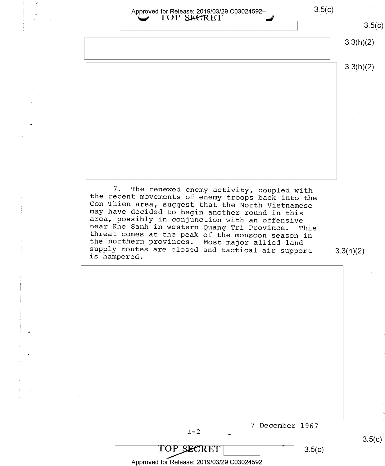| Approved for Release: 2019/03/29 C03024592-<br>I OP SECRET                                                                                                                                                                                                        |           |
|-------------------------------------------------------------------------------------------------------------------------------------------------------------------------------------------------------------------------------------------------------------------|-----------|
|                                                                                                                                                                                                                                                                   | 3.5(c)    |
|                                                                                                                                                                                                                                                                   | 3.3(h)(2) |
|                                                                                                                                                                                                                                                                   | 3.3(h)(2) |
|                                                                                                                                                                                                                                                                   |           |
|                                                                                                                                                                                                                                                                   |           |
|                                                                                                                                                                                                                                                                   |           |
|                                                                                                                                                                                                                                                                   |           |
|                                                                                                                                                                                                                                                                   |           |
|                                                                                                                                                                                                                                                                   |           |
|                                                                                                                                                                                                                                                                   |           |
| may have decided to begin another round in this<br>area, possibly in conjunction with an offensive<br>near Khe Sanh in western Quang Tri Province.<br>This<br>threat comes at the peak of the monsoon season in<br>the northern provinces. Most major allied land |           |
| supply routes are closed and tactical air support<br>is hampered.                                                                                                                                                                                                 | 3.3(h)(2) |
|                                                                                                                                                                                                                                                                   |           |
|                                                                                                                                                                                                                                                                   |           |
|                                                                                                                                                                                                                                                                   |           |
|                                                                                                                                                                                                                                                                   |           |
|                                                                                                                                                                                                                                                                   |           |
|                                                                                                                                                                                                                                                                   |           |
|                                                                                                                                                                                                                                                                   |           |
|                                                                                                                                                                                                                                                                   |           |
|                                                                                                                                                                                                                                                                   |           |
|                                                                                                                                                                                                                                                                   |           |
| 7 December 1967<br>$I - 2$                                                                                                                                                                                                                                        | 3.5(c)    |

तील सम्मान<br>पुर

 $\mathcal{L}_{\text{max}}^{\text{max}}$ 

 $\mathbb{Z}^{(n)}$ 

 $\frac{1}{2}$ 

 $\begin{array}{c} \mathbb{I} \\ \mathbb{I} \end{array}$  $\frac{1}{\sqrt{2}}\left( \frac{1}{\sqrt{2}}\right) ^{2}$ 

 $\omega_{\rm{max}}$ 

 $\begin{aligned} \frac{1}{\sqrt{2}}\left(\frac{1}{\sqrt{2}}\right)^{2} & = \frac{1}{2}\left(\frac{1}{\sqrt{2}}\right)^{2} \left(\frac{1}{\sqrt{2}}\right)^{2} \left(\frac{1}{\sqrt{2}}\right)^{2} \left(\frac{1}{\sqrt{2}}\right)^{2} \left(\frac{1}{\sqrt{2}}\right)^{2} \left(\frac{1}{\sqrt{2}}\right)^{2} \left(\frac{1}{\sqrt{2}}\right)^{2} \left(\frac{1}{\sqrt{2}}\right)^{2} \left(\frac{1}{\sqrt{2}}\right)^{2} \left(\frac{1}{\sqrt{2}}\right)^{2$ 

 $\mathcal{L}(\mathbf{w})$  and  $\mathcal{L}(\mathbf{w})$  . The set of  $\mathcal{L}(\mathbf{w})$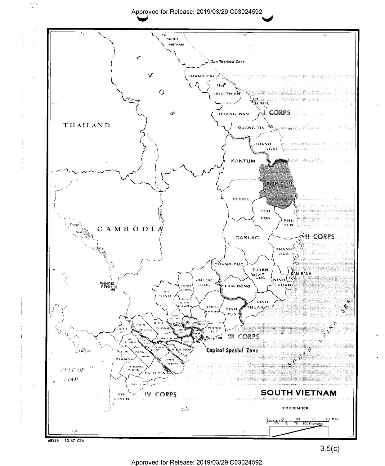### Approved for Release: 2019/03/29 C03024592

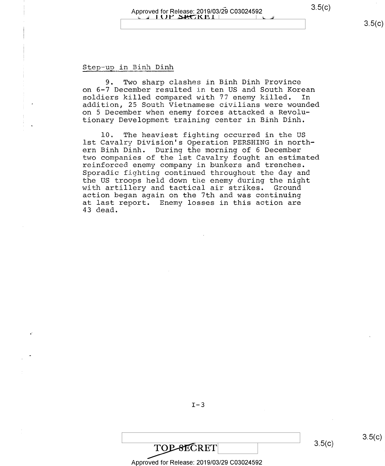9. Two sharp clashes in Binh Dinh Province on 6-7 December resulted in ten US and South Korean soldiers killed compared with 77 enemy killed. In soldiers killed compared with 77 enemy killed. addition, 25 South Vietnamese civilians were wounded on 5 December when enemy forces attacked a Revolutionary Development training center in Binh Dinh.

10. The heaviest fighting occurred in the US lst Cavalry Division's Operation PERSHING in northern Binh Dinh. During the morning of 6 December<br>two companies of the 1st Cavalry fought an estimated reinforced enemy company in bunkers and trenches. Sporadic fighting continued throughout the day and the US troops held down the enemy during the night with artillery and tactical air strikes. Ground<br>action began again on the 7th and was continuing at last report. Enemy losses in this action are 43 dead.

 $I-3$ 

# $\overline{\text{TOP-SECRET}}$  3.5(c)

Approved for Release: 2019/03/29 C03024592

 $3.5(c)$ 

 $3.5(c)$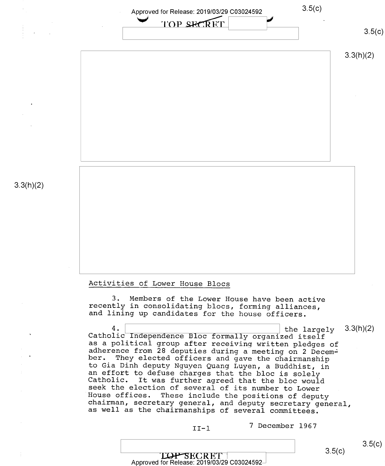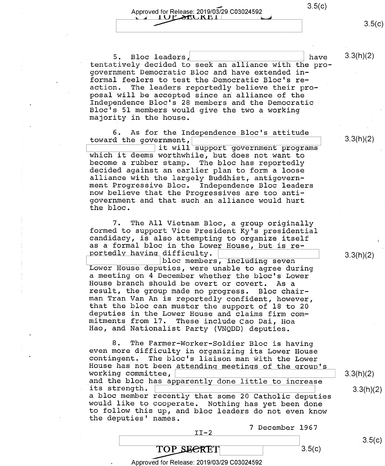Approved for Release: 2019/03/29 C03024592 ( ) 3.5(C ) 3.5(C ) 3.5(C ) 3.5(C ) 3.5(C ) 3.5(C ) 3.5(C ) 3.5(C ) 3.5(C ) 3.5(C ) 3.5(C ) 3.5(C ) 3.5(C ) 3.5(C ) 3.5(C ) 3.5(C ) 3.5(C ) 3.5(C ) 3.5(C ) 3.5(C ) 3.5(C ) 3.5(C ) 1ULSEUKET

5. Bloc leaders,  $\vert$  have  $3.3(h)(2)$ tentatively decided to seek an alliance with the progovernment Democratic Bloc and have extended in— formal feelers to test the Democratic Bloc's reaction. The leaders reportedly believe their pro-<br>posal will be accepted since an alliance of the Independence Bloc's 28 members and the Democratic Bloc's 5l members would give the two a working majority in the house.

6. As for the Independence Bloc's attitude toward the government,<br>it will support government programs

It will support government programs<br>which it deems worthwhile, but does not want to<br>become a rubber stamp. The bloc has reportedly<br>decided against an earlier plan to form a loose<br>alliance with the largely Buddhist, antigov

7. The All Vietnam Bloc, a group originally<br>formed to support Vice President Ky's presidential<br>candidacy, is also attempting to organize itself as a formal bloc in the Lower House, but is re- $\frac{1}{2}$  portedly having difficulty.<br>bloc members, including seven

portedly having difficulty.<br>bloc members, including seven boxer House deputies, were unable to agree during <sup>a</sup>meeting on 4 December whether the bloc's Lower House branch should be overt or covert. As <sup>a</sup>man Tran Van An is reportedly confident, however, that the<br>deputies<br>mitments Hao, and Nationalist Party (VNQDD) deputies. that the bloc can muster the support of 18 to 20 deputies in the Lower House and claims firm comin the Lower House and claims firm com-<br>from 17. These include Cao Dai, Hoa<br>Nationalist Party (VNQDD) deputies.

8. The Farmer-Worker-Soldier Bloc is having<br>even more difficulty in organizing its Lower House 8. The Farmer-Worker-Soldier Bloc is having<br>even more difficulty in organizing its Lower House<br>contingent. The bloc's liaison man with the Lower<br>House has not been attending meetings of the group's<br>working committee,<br>and t

<sup>7</sup>December 1967 II-2

 $3.5(c)$ 

 $\frac{1}{2}$  s.5(c)

 $3.3(h)(2)$ 

 $3.5(c)$ 

Approved for Release: 2019/03/29 C03024592

TOP SECRET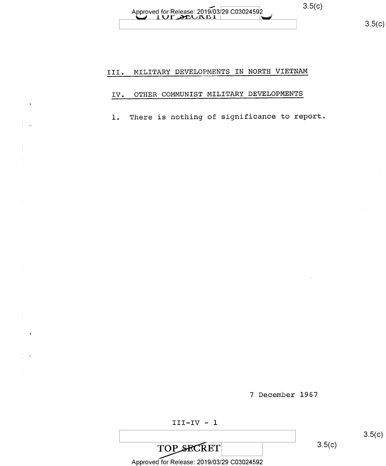# Approved for Release: 2019/03/29 C03024592 ( ) 3.5(c)

# III. MILITARY DEVELOPMENTS IN NORTH VIETNAM

### IV. OTHER COMMUNIST MILITARY DEVELOPMENTS

l. There is nothing of significance to report.

\ \ 8-5<c>

<sup>7</sup>December 1967

TOP SECRET

 $3.5(c)$ 

 $3.5(c)$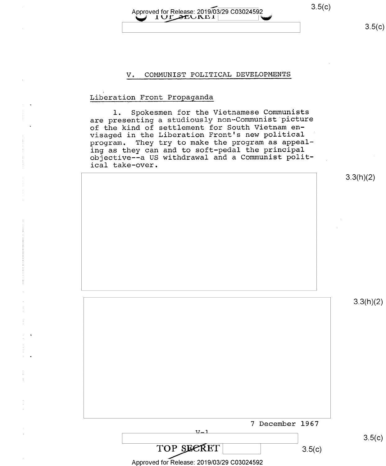## Approved for Release: 2019/03/29 C03024592 3.5(c) 'ii ILLQLEELAXDL Q;

 $3.5(c)$ 

#### V, COMMUNIST POLITICAL DEVELOPMENTS

#### Liheration Front Propaganda

l. Spokesmen for the Vietnamese Communists are presenting a studiously non-Communist picture of the kind of settlement for South Vietnam envisaged in the Liberation Front's new political program. They try to make the program as appealing as they can and to soft-pedal the principal objective-—a US withdrawal and a Communist political take-over.

| $1001$ $0010$ $0000$                       |                  |
|--------------------------------------------|------------------|
|                                            | 3.3(h)(2)        |
|                                            |                  |
|                                            |                  |
|                                            |                  |
|                                            |                  |
|                                            |                  |
|                                            |                  |
|                                            |                  |
|                                            | 3.3(h)(2)        |
|                                            |                  |
|                                            |                  |
|                                            |                  |
|                                            |                  |
|                                            |                  |
|                                            |                  |
|                                            |                  |
| 7 December 1967<br>$V-1$                   |                  |
| TOP SECRET                                 | 3.5(c)<br>3.5(c) |
| Approved for Release: 2019/03/29 C03024592 |                  |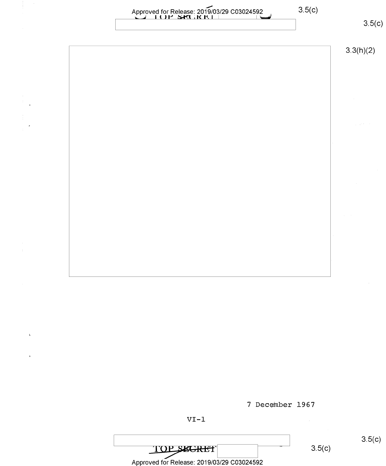$3.5(c)$ 

Approved for Release: 2019/03/29 C03024592  $\mathbf{r}$ 3-5(6) <sup>j</sup>l <sup>y</sup>M

| 3.3(h)(2) |
|-----------|
|           |
|           |
|           |
| $\sim$    |
| $\sim$    |
|           |
|           |
|           |
|           |
| $\sim$    |
|           |

<sup>7</sup>December 1967

 $\mathbf{t}$ 

 $3.5(c)$ TOPS **KGRET** Approved for Release: 2019/03/29 C03024592

 $3.5(c)$